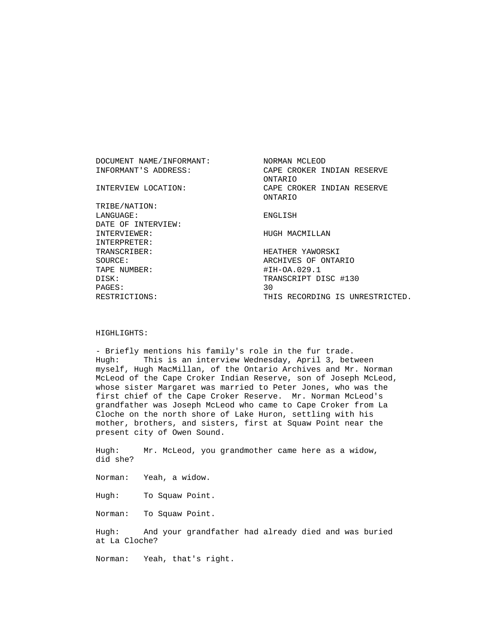DOCUMENT NAME/INFORMANT: NORMAN MCLEOD INFORMANT'S ADDRESS: CAPE CROKER INDIAN RESERVE ONTARIO INTERVIEW LOCATION: CAPE CROKER INDIAN RESERVE ONTARIO TRIBE/NATION: LANGUAGE: ENGLISH DATE OF INTERVIEW: INTERVIEWER: HUGH MACMILLAN INTERPRETER: TRANSCRIBER: HEATHER YAWORSKI SOURCE: ARCHIVES OF ONTARIO TAPE NUMBER: #IH-OA.029.1 DISK: TRANSCRIPT DISC #130 PAGES: 30 RESTRICTIONS: THIS RECORDING IS UNRESTRICTED.

## HIGHLIGHTS:

 - Briefly mentions his family's role in the fur trade. Hugh: This is an interview Wednesday, April 3, between myself, Hugh MacMillan, of the Ontario Archives and Mr. Norman McLeod of the Cape Croker Indian Reserve, son of Joseph McLeod, whose sister Margaret was married to Peter Jones, who was the first chief of the Cape Croker Reserve. Mr. Norman McLeod's grandfather was Joseph McLeod who came to Cape Croker from La Cloche on the north shore of Lake Huron, settling with his mother, brothers, and sisters, first at Squaw Point near the present city of Owen Sound.

 Hugh: Mr. McLeod, you grandmother came here as a widow, did she?

Norman: Yeah, a widow.

Hugh: To Squaw Point.

Norman: To Squaw Point.

 Hugh: And your grandfather had already died and was buried at La Cloche?

Norman: Yeah, that's right.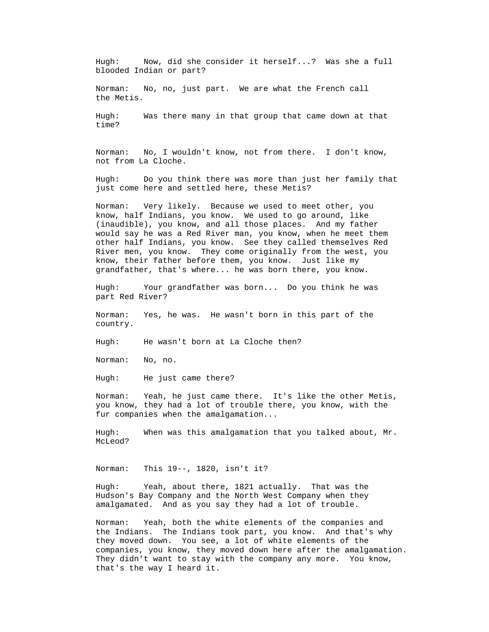Hugh: Now, did she consider it herself...? Was she a full blooded Indian or part?

 Norman: No, no, just part. We are what the French call the Metis.

 Hugh: Was there many in that group that came down at that time?

 Norman: No, I wouldn't know, not from there. I don't know, not from La Cloche.

 Hugh: Do you think there was more than just her family that just come here and settled here, these Metis?

 Norman: Very likely. Because we used to meet other, you know, half Indians, you know. We used to go around, like (inaudible), you know, and all those places. And my father would say he was a Red River man, you know, when he meet them other half Indians, you know. See they called themselves Red River men, you know. They come originally from the west, you know, their father before them, you know. Just like my grandfather, that's where... he was born there, you know.

 Hugh: Your grandfather was born... Do you think he was part Red River?

 Norman: Yes, he was. He wasn't born in this part of the country.

Hugh: He wasn't born at La Cloche then?

Norman: No, no.

Hugh: He just came there?

 Norman: Yeah, he just came there. It's like the other Metis, you know, they had a lot of trouble there, you know, with the fur companies when the amalgamation...

 Hugh: When was this amalgamation that you talked about, Mr. McLeod?

Norman: This 19--, 1820, isn't it?

 Hugh: Yeah, about there, 1821 actually. That was the Hudson's Bay Company and the North West Company when they amalgamated. And as you say they had a lot of trouble.

 Norman: Yeah, both the white elements of the companies and the Indians. The Indians took part, you know. And that's why they moved down. You see, a lot of white elements of the companies, you know, they moved down here after the amalgamation. They didn't want to stay with the company any more. You know, that's the way I heard it.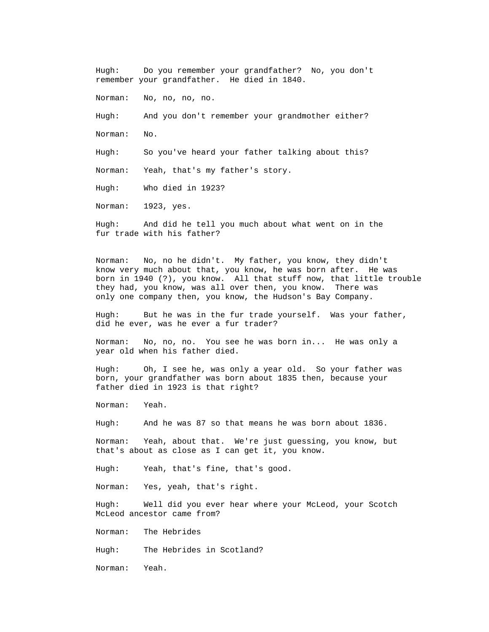Hugh: Do you remember your grandfather? No, you don't remember your grandfather. He died in 1840. Norman: No, no, no, no. Hugh: And you don't remember your grandmother either? Norman: No. Hugh: So you've heard your father talking about this? Norman: Yeah, that's my father's story. Hugh: Who died in 1923?

Norman: 1923, yes.

 Hugh: And did he tell you much about what went on in the fur trade with his father?

 Norman: No, no he didn't. My father, you know, they didn't know very much about that, you know, he was born after. He was born in 1940 (?), you know. All that stuff now, that little trouble they had, you know, was all over then, you know. There was only one company then, you know, the Hudson's Bay Company.

 Hugh: But he was in the fur trade yourself. Was your father, did he ever, was he ever a fur trader?

 Norman: No, no, no. You see he was born in... He was only a year old when his father died.

 Hugh: Oh, I see he, was only a year old. So your father was born, your grandfather was born about 1835 then, because your father died in 1923 is that right?

Norman: Yeah.

Hugh: And he was 87 so that means he was born about 1836.

 Norman: Yeah, about that. We're just guessing, you know, but that's about as close as I can get it, you know.

Hugh: Yeah, that's fine, that's good.

Norman: Yes, yeah, that's right.

 Hugh: Well did you ever hear where your McLeod, your Scotch McLeod ancestor came from?

Norman: The Hebrides

Hugh: The Hebrides in Scotland?

Norman: Yeah.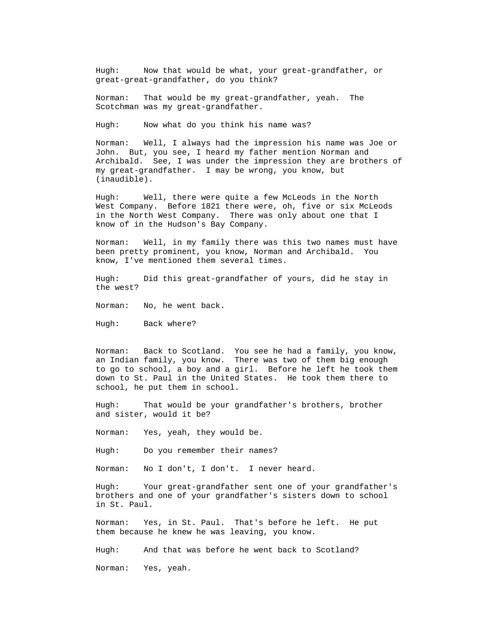Hugh: Now that would be what, your great-grandfather, or great-great-grandfather, do you think?

 Norman: That would be my great-grandfather, yeah. The Scotchman was my great-grandfather.

Hugh: Now what do you think his name was?

 Norman: Well, I always had the impression his name was Joe or John. But, you see, I heard my father mention Norman and Archibald. See, I was under the impression they are brothers of my great-grandfather. I may be wrong, you know, but (inaudible).

 Hugh: Well, there were quite a few McLeods in the North West Company. Before 1821 there were, oh, five or six McLeods in the North West Company. There was only about one that I know of in the Hudson's Bay Company.

 Norman: Well, in my family there was this two names must have been pretty prominent, you know, Norman and Archibald. You know, I've mentioned them several times.

 Hugh: Did this great-grandfather of yours, did he stay in the west?

Norman: No, he went back.

Hugh: Back where?

 Norman: Back to Scotland. You see he had a family, you know, an Indian family, you know. There was two of them big enough to go to school, a boy and a girl. Before he left he took them down to St. Paul in the United States. He took them there to school, he put them in school.

Hugh: That would be your grandfather's brothers, brother and sister, would it be?

Norman: Yes, yeah, they would be.

Hugh: Do you remember their names?

Norman: No I don't, I don't. I never heard.

 Hugh: Your great-grandfather sent one of your grandfather's brothers and one of your grandfather's sisters down to school in St. Paul.

 Norman: Yes, in St. Paul. That's before he left. He put them because he knew he was leaving, you know.

Hugh: And that was before he went back to Scotland?

Norman: Yes, yeah.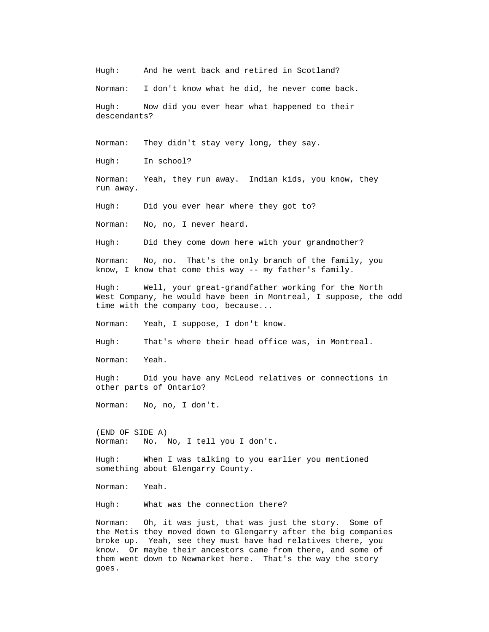Hugh: And he went back and retired in Scotland?

Norman: I don't know what he did, he never come back.

 Hugh: Now did you ever hear what happened to their descendants?

Norman: They didn't stay very long, they say.

Hugh: In school?

 Norman: Yeah, they run away. Indian kids, you know, they run away.

Hugh: Did you ever hear where they got to?

Norman: No, no, I never heard.

Hugh: Did they come down here with your grandmother?

 Norman: No, no. That's the only branch of the family, you know, I know that come this way -- my father's family.

 Hugh: Well, your great-grandfather working for the North West Company, he would have been in Montreal, I suppose, the odd time with the company too, because...

Norman: Yeah, I suppose, I don't know.

Hugh: That's where their head office was, in Montreal.

Norman: Yeah.

 Hugh: Did you have any McLeod relatives or connections in other parts of Ontario?

Norman: No, no, I don't.

 (END OF SIDE A) Norman: No. No, I tell you I don't.

 Hugh: When I was talking to you earlier you mentioned something about Glengarry County.

Norman: Yeah.

Hugh: What was the connection there?

 Norman: Oh, it was just, that was just the story. Some of the Metis they moved down to Glengarry after the big companies broke up. Yeah, see they must have had relatives there, you know. Or maybe their ancestors came from there, and some of them went down to Newmarket here. That's the way the story goes.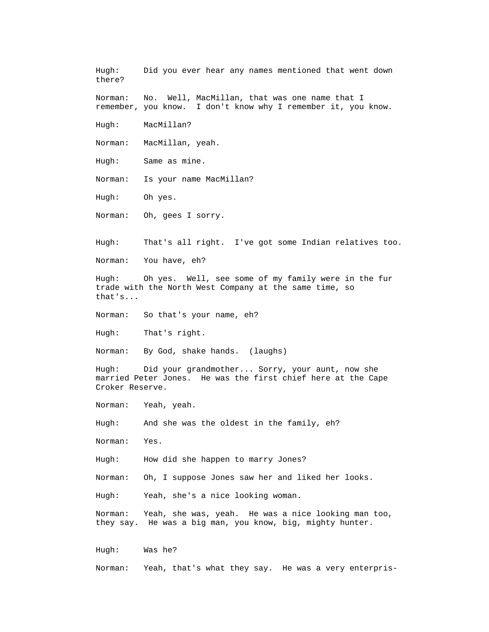Hugh: Did you ever hear any names mentioned that went down there?

 Norman: No. Well, MacMillan, that was one name that I remember, you know. I don't know why I remember it, you know.

Hugh: MacMillan?

Norman: MacMillan, yeah.

Hugh: Same as mine.

Norman: Is your name MacMillan?

Hugh: Oh yes.

Norman: Oh, gees I sorry.

Hugh: That's all right. I've got some Indian relatives too.

Norman: You have, eh?

 Hugh: Oh yes. Well, see some of my family were in the fur trade with the North West Company at the same time, so that's...

Norman: So that's your name, eh?

Hugh: That's right.

Norman: By God, shake hands. (laughs)

 Hugh: Did your grandmother... Sorry, your aunt, now she married Peter Jones. He was the first chief here at the Cape Croker Reserve.

Norman: Yeah, yeah.

Hugh: And she was the oldest in the family, eh?

Norman: Yes.

Hugh: How did she happen to marry Jones?

Norman: Oh, I suppose Jones saw her and liked her looks.

Hugh: Yeah, she's a nice looking woman.

 Norman: Yeah, she was, yeah. He was a nice looking man too, they say. He was a big man, you know, big, mighty hunter.

Hugh: Was he?

Norman: Yeah, that's what they say. He was a very enterpris-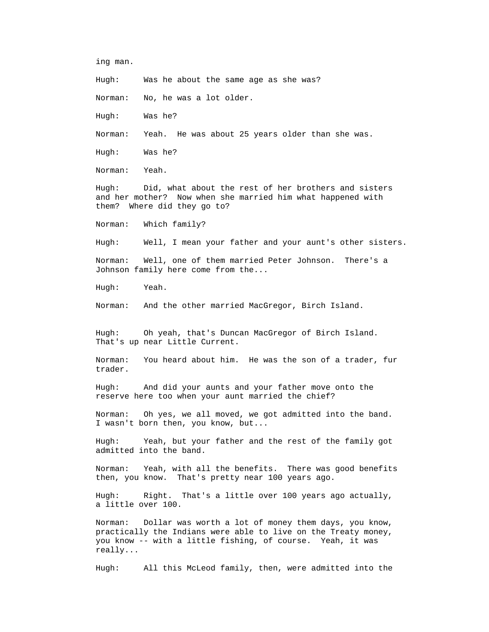ing man.

Hugh: Was he about the same age as she was?

Norman: No, he was a lot older.

Hugh: Was he?

Norman: Yeah. He was about 25 years older than she was.

Hugh: Was he?

Norman: Yeah.

 Hugh: Did, what about the rest of her brothers and sisters and her mother? Now when she married him what happened with them? Where did they go to?

Norman: Which family?

Hugh: Well, I mean your father and your aunt's other sisters.

 Norman: Well, one of them married Peter Johnson. There's a Johnson family here come from the...

Hugh: Yeah.

Norman: And the other married MacGregor, Birch Island.

 Hugh: Oh yeah, that's Duncan MacGregor of Birch Island. That's up near Little Current.

 Norman: You heard about him. He was the son of a trader, fur trader.

 Hugh: And did your aunts and your father move onto the reserve here too when your aunt married the chief?

 Norman: Oh yes, we all moved, we got admitted into the band. I wasn't born then, you know, but...

 Hugh: Yeah, but your father and the rest of the family got admitted into the band.

 Norman: Yeah, with all the benefits. There was good benefits then, you know. That's pretty near 100 years ago.

 Hugh: Right. That's a little over 100 years ago actually, a little over 100.

 Norman: Dollar was worth a lot of money them days, you know, practically the Indians were able to live on the Treaty money, you know -- with a little fishing, of course. Yeah, it was really...

Hugh: All this McLeod family, then, were admitted into the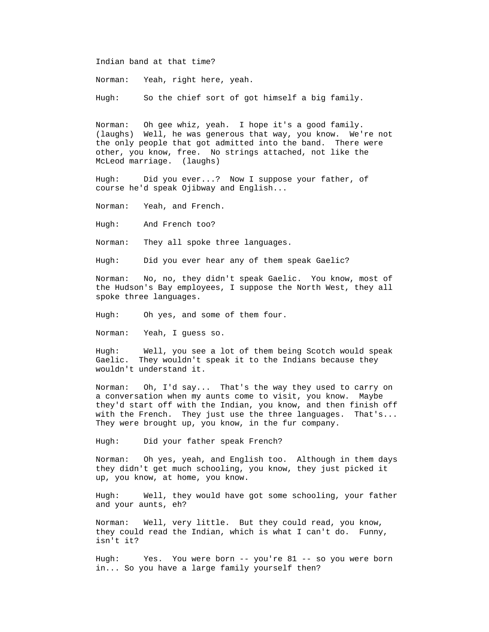Indian band at that time?

Norman: Yeah, right here, yeah.

Hugh: So the chief sort of got himself a big family.

 Norman: Oh gee whiz, yeah. I hope it's a good family. (laughs) Well, he was generous that way, you know. We're not the only people that got admitted into the band. There were other, you know, free. No strings attached, not like the McLeod marriage. (laughs)

 Hugh: Did you ever...? Now I suppose your father, of course he'd speak Ojibway and English...

Norman: Yeah, and French.

Hugh: And French too?

Norman: They all spoke three languages.

Hugh: Did you ever hear any of them speak Gaelic?

 Norman: No, no, they didn't speak Gaelic. You know, most of the Hudson's Bay employees, I suppose the North West, they all spoke three languages.

Hugh: Oh yes, and some of them four.

Norman: Yeah, I guess so.

 Hugh: Well, you see a lot of them being Scotch would speak Gaelic. They wouldn't speak it to the Indians because they wouldn't understand it.

 Norman: Oh, I'd say... That's the way they used to carry on a conversation when my aunts come to visit, you know. Maybe they'd start off with the Indian, you know, and then finish off with the French. They just use the three languages. That's... They were brought up, you know, in the fur company.

Hugh: Did your father speak French?

 Norman: Oh yes, yeah, and English too. Although in them days they didn't get much schooling, you know, they just picked it up, you know, at home, you know.

 Hugh: Well, they would have got some schooling, your father and your aunts, eh?

 Norman: Well, very little. But they could read, you know, they could read the Indian, which is what I can't do. Funny, isn't it?

 Hugh: Yes. You were born -- you're 81 -- so you were born in... So you have a large family yourself then?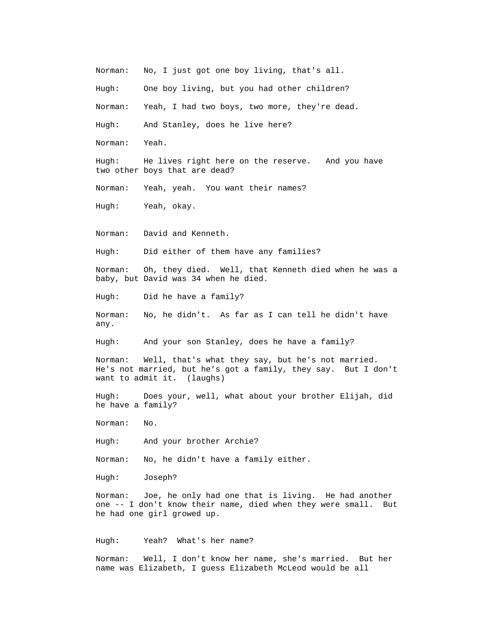Norman: No, I just got one boy living, that's all.

Hugh: One boy living, but you had other children?

Norman: Yeah, I had two boys, two more, they're dead.

Hugh: And Stanley, does he live here?

Norman: Yeah.

 Hugh: He lives right here on the reserve. And you have two other boys that are dead?

Norman: Yeah, yeah. You want their names?

Hugh: Yeah, okay.

Norman: David and Kenneth.

Hugh: Did either of them have any families?

 Norman: Oh, they died. Well, that Kenneth died when he was a baby, but David was 34 when he died.

Hugh: Did he have a family?

 Norman: No, he didn't. As far as I can tell he didn't have any.

Hugh: And your son Stanley, does he have a family?

 Norman: Well, that's what they say, but he's not married. He's not married, but he's got a family, they say. But I don't want to admit it. (laughs)

 Hugh: Does your, well, what about your brother Elijah, did he have a family?

Norman: No.

And your brother Archie? Hugh:

No, he didn't have a family either. Norman:

Hugh: Joseph?

Joe, he only had one that is living. He had another Norman: one -- I don't know their name, died when they were small. But he had one girl growed up.

Hugh: Yeah? What's her name?

Norman: Well, I don't know her name, she's married. But her name was Elizabeth, I guess Elizabeth McLeod would be all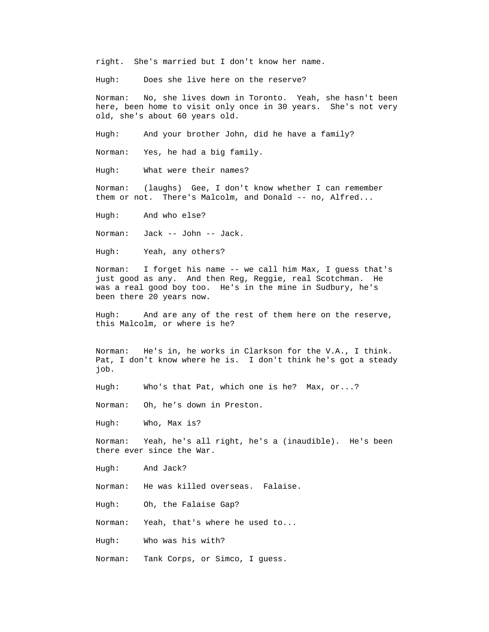right. She's married but I don't know her name.

Hugh: Does she live here on the reserve?

 Norman: No, she lives down in Toronto. Yeah, she hasn't been here, been home to visit only once in 30 years. She's not very old, she's about 60 years old.

And your brother John, did he have a family? Hugh:

Norman: Yes, he had a big family.

What were their names? Hugh:

(laughs) Gee, I don't know whether I can remember Norman: them or not. There's Malcolm, and Donald -- no, Alfred...

And who else? Hugh:

Norman: Jack -- John -- Jack.

Yeah, any others? Hugh:

I forget his name -- we call him Max, I guess that's Norman: just good as any. And then Reg, Reggie, real Scotchman. He was a real good boy too. He's in the mine in Sudbury, he's been there 20 years now.

Hugh: And are any of the rest of them here on the reserve, this Malcolm, or where is he?

> He's in, he works in Clarkson for the V.A., I think. Norman: Pat, I don't know where he is. I don't think he's got a steady job.

Who's that Pat, which one is he? Max, or...? Hugh:

Oh, he's down in Preston. Norman:

Hugh: Who, Max is?

Yeah, he's all right, he's a (inaudible). He's been Norman: there ever since the War.

And Jack? Hugh:

He was killed overseas. Falaise. Norman:

Hugh: Oh, the Falaise Gap?

Yeah, that's where he used to... Norman:

Hugh: Who was his with?

Norman: Tank Corps, or Simco, I guess.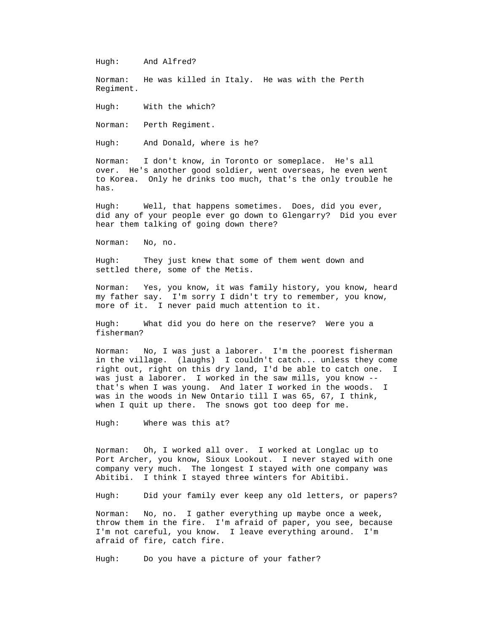Hugh: And Alfred?

He was killed in Italy. He was with the Perth Norman: Regiment.

With the which? Hugh:

Norman: Perth Regiment.

And Donald, where is he? Hugh:

I don't know, in Toronto or someplace. He's all over. He's another good soldier, went overseas, he even went Norman: to Korea. Only he drinks too much, that's the only trouble he has.

did any of your people ever go down to Glengarry? Did you ever Hugh: Well, that happens sometimes. Does, did you ever, hear them talking of going down there?

> No, no. Norman:

 Hugh: They just knew that some of them went down and settled there, some of the Metis.

 Norman: Yes, you know, it was family history, you know, heard my father say. I'm sorry I didn't try to remember, you know, more of it. I never paid much attention to it.

What did you do here on the reserve? Were you a Hugh: fisherman?

No, I was just a laborer. I'm the poorest fisherman Norman: in the village. (laughs) I couldn't catch... unless they come right out, right on this dry land, I'd be able to catch one. I was just a laborer. I worked in the saw mills, you know - that's when I was young. And later I worked in the woods. I was in the woods in New Ontario till I was 65, 67, I think, when I quit up there. The snows got too deep for me.

Hugh: Where was this at?

Oh, I worked all over. I worked at Longlac up to e Port Archer, you know, Sioux Lookout. I never stayed with on Norman: company very much. The longest I stayed with one company was Abitibi. I think I stayed three winters for Abitibi.

> Did your family ever keep any old letters, or papers? Hugh:

No, no. I gather everything up maybe once a week, Norman: throw them in the fire. I'm afraid of paper, you see, because I'm not careful, you know. I leave everything around. I'm afraid of fire, catch fire.

Hugh: Do you have a picture of your father?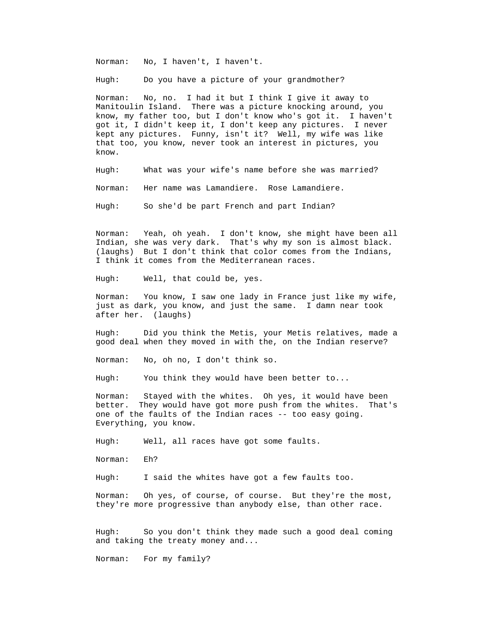Norman: No, I haven't, I haven't.

Do you have a picture of your grandmother? Hugh:

Manitoulin Island. There was a picture knocking around, you Norman: No, no. I had it but I think I give it away to know, my father too, but I don't know who's got it. I haven't got it, I didn't keep it, I don't keep any pictures. I never kept any pictures. Funny, isn't it? Well, my wife was like that too, you know, never took an interest in pictures, you know.

> What was your wife's name before she was married? Hugh:

Her name was Lamandiere. Rose Lamandiere. Norman:

Hugh: So she'd be part French and part Indian?

 Norman: Yeah, oh yeah. I don't know, she might have been all Indian, she was very dark. That's why my son is almost black. (laughs) But I don't think that color comes from the Indians, I think it comes from the Mediterranean races.

Well, that could be, yes. Hugh:

You know, I saw one lady in France just like my wife, Norman: just as dark, you know, and just the same. I damn near took after her. (laughs)

Did you think the Metis, your Metis relatives, made a Hugh: good deal when they moved in with the, on the Indian reserve?

No, oh no, I don't think so. Norman:

You think they would have been better to... Hugh:

Norman: Stayed with the whites. Oh yes, it would have been better. They would have got more push from the whites. That's one of the faults of the Indian races -- too easy going. Everything, you know.

> Well, all races have got some faults. Hugh:

Norman: Eh?

I said the whites have got a few faults too.  $Hugh:$ 

Oh yes, of course, of course. But they're the most, Norman: they're more progressive than anybody else, than other race.

So you don't think they made such a good deal coming Hugh: and taking the treaty money and...

Norman: For my family?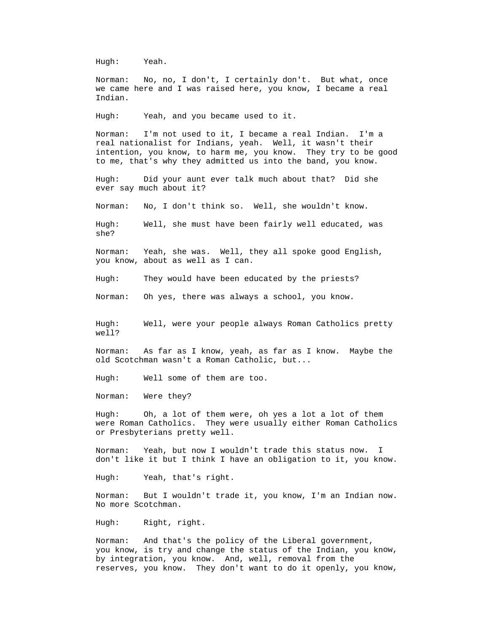Hugh: Yeah.

No, no, I don't, I certainly don't. But what, once Norman: we came here and I was raised here, you know, I became a real Indian.

Yeah, and you became used to it. Hugh:

I'm not used to it, I became a real Indian. I'm a Norman: real nationalist for Indians, yeah. Well, it wasn't their intention, you know, to harm me, you know. They try to be good to me, that's why they admitted us into the band, you know.

 Hugh: Did your aunt ever talk much about that? Did she ever say much about it?

Norman: No, I don't think so. Well, she wouldn't know.

Well, she must have been fairly well educated, was Hugh: she?

Yeah, she was. Well, they all spoke good English, Norman: you know, about as well as I can.

They would have been educated by the priests? Hugh:

Oh yes, there was always a school, you know. Norman:

Well, were your people always Roman Catholics pretty Hugh: well?

As far as I know, yeah, as far as I know. Maybe the Norman: old Scotchman wasn't a Roman Catholic, but...

Well some of them are too. Hugh:

Norman: Were they?

gh: Oh, a lot of them were, oh yes a lot a lot of them were Roman Catholics. They were usually either Roman Catholics Hugh: or Presbyterians pretty well.

Norman: Yeah, but now I wouldn't trade this status now. I . don't like it but I think I have an obligation to it, you know

Hugh: Yeah, that's right.

But I wouldn't trade it, you know, I'm an Indian now. Norman: No more Scotchman.

Right, right. Hugh:

you know, is try and change the status of the Indian, you know, reserves, you know. They don't want to do it openly, you know, Norman: And that's the policy of the Liberal government, by integration, you know. And, well, removal from the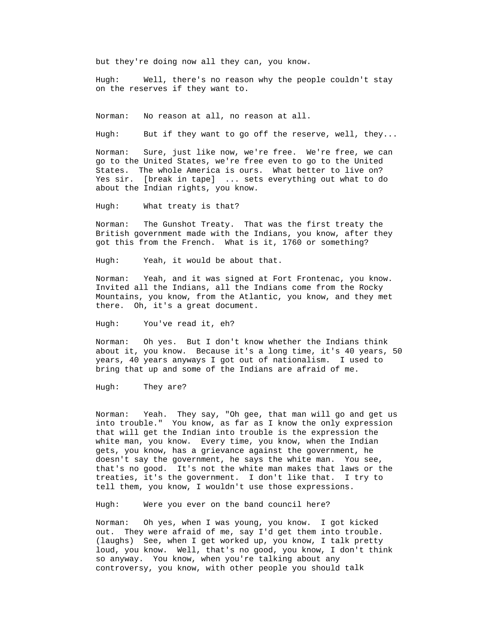but they're doing now all they can, you know.

 Hugh: Well, there's no reason why the people couldn't stay on the reserves if they want to.

No reason at all, no reason at all. Norman:

But if they want to go off the reserve, well, they... Hugh:

 Norman: Sure, just like now, we're free. We're free, we can go to the United States, we're free even to go to the United States. The whole America is ours. What better to live on? Yes sir. [break in tape] ... sets everything out what to do about the Indian rights, you know.

Hugh: What treaty is that?

The Gunshot Treaty. That was the first treaty the Norman: British government made with the Indians, you know, after they got this from the French. What is it, 1760 or something?

Hugh: Yeah, it would be about that.

Yeah, and it was signed at Fort Frontenac, you know. Norman: Invited all the Indians, all the Indians come from the Rocky Mountains, you know, from the Atlantic, you know, and they met there. Oh, it's a great document.

You've read it, eh? Hugh:

Norman: Oh yes. But I don't know whether the Indians think about it, you know. Because it's a long time, it's 40 years, 50 years, 40 years anyways I got out of nationalism. I used to bring that up and some of the Indians are afraid of me.

> They are? Hugh:

Yeah. They say, "Oh gee, that man will go and get us Norman: into trouble." You know, as far as I know the only expression that will get the Indian into trouble is the expression the white man, you know. Every time, you know, when the Indian gets, you know, has a grievance against the government, he doesn't say the government, he says the white man. You see, that's no good. It's not the white man makes that laws or the treaties, it's the government. I don't like that. I try to tell them, you know, I wouldn't use those expressions.

Hugh: Were you ever on the band council here?

Oh yes, when I was young, you know. I got kicked controversy, you know, with other people you should talk Norman: out. They were afraid of me, say I'd get them into trouble. (laughs) See, when I get worked up, you know, I talk pretty loud, you know. Well, that's no good, you know, I don't think so anyway. You know, when you're talking about any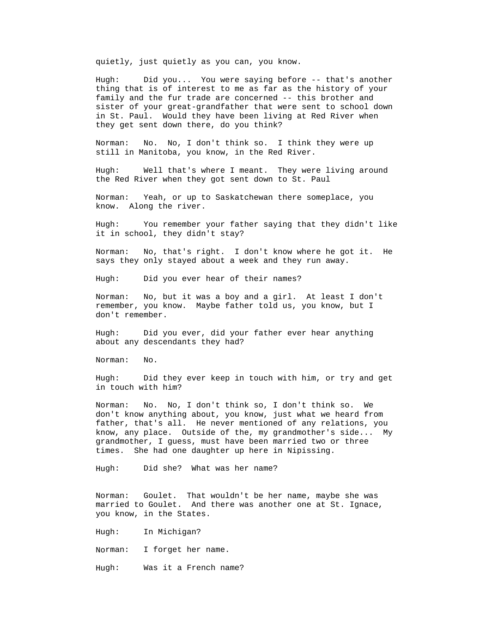quietly, just quietly as you can, you know.

 Hugh: Did you... You were saying before -- that's another sister of your great-grandfather that were sent to school down thing that is of interest to me as far as the history of your family and the fur trade are concerned -- this brother and in St. Paul. Would they have been living at Red River when they get sent down there, do you think?

> No. No, I don't think so. I think they were up Norman: still in Manitoba, you know, in the Red River.

Well that's where I meant. They were living around Hugh: the Red River when they got sent down to St. Paul

Yeah, or up to Saskatchewan there someplace, you Norman: know. Along the river.

You remember your father saying that they didn't like Hugh: it in school, they didn't stay?

Norman: No, that's right. I don't know where he got it. He says they only stayed about a week and they run away.

> Did you ever hear of their names? Hugh:

No, but it was a boy and a girl. At least I don't Norman: remember, you know. Maybe father told us, you know, but I don't remember.

Did you ever, did your father ever hear anything Hugh: about any descendants they had?

Norman: No.

Did they ever keep in touch with him, or try and get Hugh: in touch with him?

No. No, I don't think so, I don't think so. We Norman: don't know anything about, you know, just what we heard from father, that's all. He never mentioned of any relations, you know, any place. Outside of the, my grandmother's side... My grandmother, I guess, must have been married two or three times. She had one daughter up here in Nipissing.

Did she? What was her name? Hugh:

Goulet. That wouldn't be her name, maybe she was Norman: married to Goulet. And there was another one at St. Ignace, you know, in the States.

Hugh: In Michigan?

I forget her name. Norman:

Was it a French name? Hugh: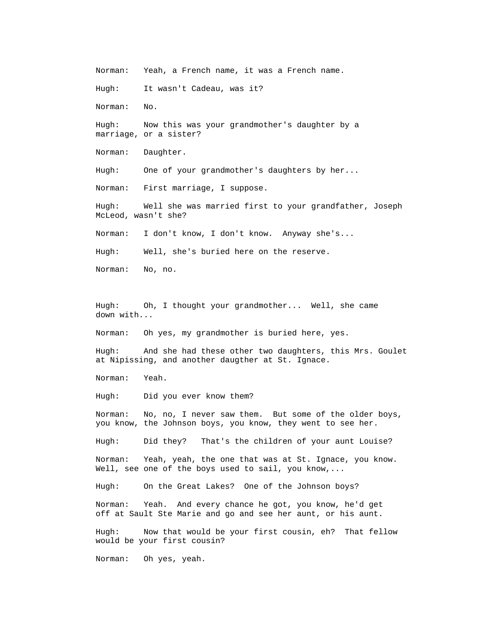Norman: Yeah, a French name, it was a French name.

Hugh: It wasn't Cadeau, was it?

Norman: No.

 Hugh: Now this was your grandmother's daughter by a marriage, or a sister?

Norman: Daughter.

One of your grandmother's daughters by her... Hugh:

First marriage, I suppose. Norman:

 Hugh: Well she was married first to your grandfather, Joseph McLeod, wasn't she?

Norman: I don't know, I don't know. Anyway she's...

Well, she's buried here on the reserve. Hugh:

No, no. Norman:

Oh, I thought your grandmother... Well, she came Hugh: down with...

Oh yes, my grandmother is buried here, yes. Norman:

And she had these other two daughters, this Mrs. Goulet Hugh: at Nipissing, and another daugther at St. Ignace.

Norman: Yeah.

Hugh: Did you ever know them?

No, no, I never saw them. But some of the older boys, Norman: you know, the Johnson boys, you know, they went to see her.

Did they? That's the children of your aunt Louise? Hugh:

Yeah, yeah, the one that was at St. Ignace, you know. Norman: Well, see one of the boys used to sail, you know,...

Hugh: On the Great Lakes? One of the Johnson boys?

Norman: Yeah. And every chance he got, you know, he'd get off at Sault Ste Marie and go and see her aunt, or his aunt.

> Hugh: Now that would be your first cousin, eh? That fellow would be your first cousin?

Norman: Oh yes, yeah.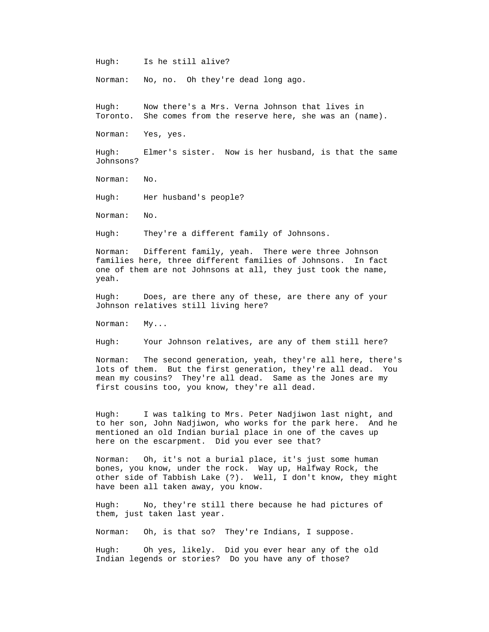Hugh: Is he still alive?

Norman: No, no. Oh they're dead long ago.

Now there's a Mrs. Verna Johnson that lives in Toronto. She comes from the reserve here, she was an (name). Hugh:

Norman: Yes, yes.

Hugh: Elmer's sister. Now is her husband, is that the same Johnsons?

> No. Norman:

Hugh: Her husband's people?

Norman: No.

They're a different family of Johnsons. Hugh:

Norman: Different family, yeah. There were three Johnson families here, three different families of Johnsons. In fact one of them are not Johnsons at all, they just took the name, yeah.

 Does, are there any of these, are there any of your Johnson relatives still living here? Hugh:

Norman: My...

Hugh: Your Johnson relatives, are any of them still here?

 Norman: The second generation, yeah, they're all here, there's lots of them. But the first generation, they're all dead. You mean my cousins? They're all dead. Same as the Jones are my first cousins too, you know, they're all dead.

I was talking to Mrs. Peter Nadjiwon last night, and to her son, John Nadjiwon, who works for the park here. And he Hugh: mentioned an old Indian burial place in one of the caves up here on the escarpment. Did you ever see that?

Norman: Oh, it's not a burial place, it's just some human bones, you know, under the rock. Way up, Halfway Rock, the other side of Tabbish Lake (?). Well, I don't know, they might have been all taken away, you know.

them, just taken last year. Hugh: No, they're still there because he had pictures of

Norman: Oh, is that so? They're Indians, I suppose.

Hugh: Oh yes, likely. Did you ever hear any of the old Indian legends or stories? Do you have any of those?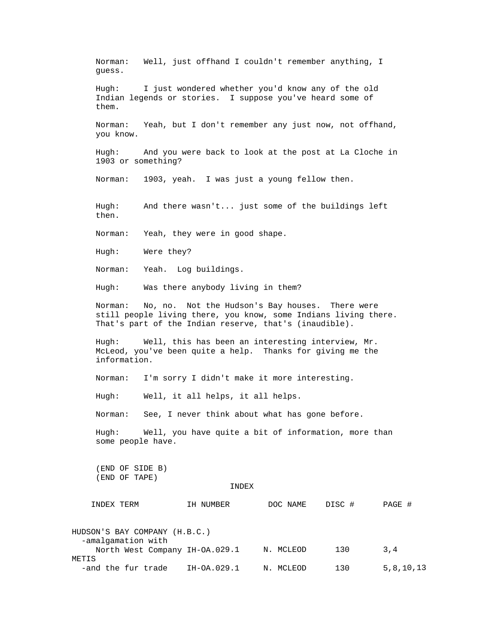Norman: Well, just offhand I couldn't remember anything, I guess.

 Hugh: I just wondered whether you'd know any of the old Indian legends or stories. I suppose you've heard some of them.

 Yeah, but I don't remember any just now, not offhand, you know. Norman:

And you were back to look at the post at La Cloche in 1903 or something?  $H$ ugh:

Norman: 1903, yeah. I was just a young fellow then.

And there wasn't... just some of the buildings left then. Hugh:

> Yeah, they were in good shape. Norman:

Hugh: Were they?

Norman: Yeah. Log buildings.

Hugh: Was there anybody living in them?

Norman: No, no. Not the Hudson's Bay houses. There were still people living there, you know, some Indians living there. That's part of the Indian reserve, that's (inaudible).

McLeod, you've been quite a help. Thanks for giving me the Hugh: Well, this has been an interesting interview, Mr. information.

> I'm sorry I didn't make it more interesting. Norman:

Hugh: Well, it all helps, it all helps.

Norman: See, I never think about what has gone before.

Hugh: Well, you have quite a bit of information, more than some people have.

(END OF SIDE B) (END OF TAPE)

## INDEX

| INDEX TERM                    | IH NUMBER                      | DOC NAME  | DISC # | PAGE #    |
|-------------------------------|--------------------------------|-----------|--------|-----------|
| HUDSON'S BAY COMPANY (H.B.C.) |                                |           |        |           |
| -amalgamation with            | North West Company IH-OA.029.1 | N. MCLEOD | 130    | 3,4       |
| METIS<br>-and the fur trade   | IH-OA.029.1                    | N. MCLEOD | 130    | 5,8,10,13 |